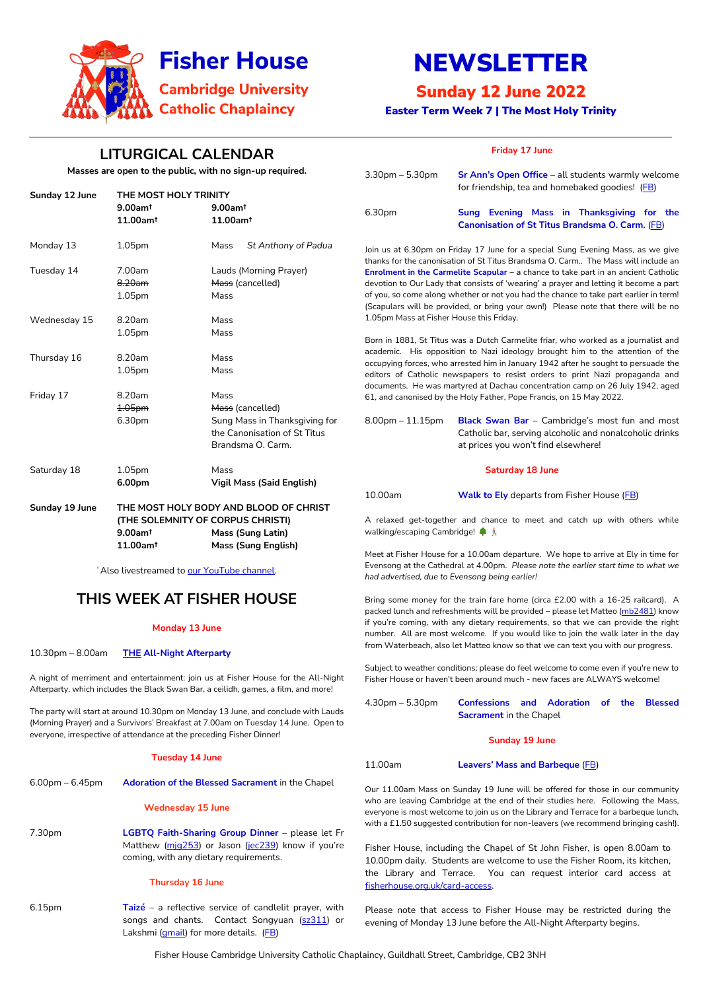Fisher House Cambridge University Catholic Chaplaincy, Guildhall Street, Cambridge, CB2 3NH



# NEWSLETTER

## Sunday 12 June 2022

Easter Term Week 7 | The Most Holy Trinity

## **LITURGICAL CALENDAR**

Masses are open to the public, with no sign-up

| Sunday 12 June | THE MOST HOLY TRINITY<br>$9.00$ am <sup>t</sup><br>11.00am <sup>t</sup>                                                                                                                 | $9.00$ am <sup>t</sup><br>11.00am <sup>t</sup>                                                                 |
|----------------|-----------------------------------------------------------------------------------------------------------------------------------------------------------------------------------------|----------------------------------------------------------------------------------------------------------------|
| Monday 13      | 1.05pm                                                                                                                                                                                  | Mass<br>St Anthony of Padua                                                                                    |
| Tuesday 14     | 7.00am<br>8.20am<br>1.05pm                                                                                                                                                              | Lauds (Morning Prayer)<br>Mass (cancelled)<br>Mass                                                             |
| Wednesday 15   | 8.20am<br>1.05pm                                                                                                                                                                        | Mass<br>Mass                                                                                                   |
| Thursday 16    | 8.20am<br>1.05pm                                                                                                                                                                        | Mass<br>Mass                                                                                                   |
| Friday 17      | 8.20am<br>1.05pm<br>6.30pm                                                                                                                                                              | Mass<br>Mass (cancelled)<br>Sung Mass in Thanksgiving for<br>the Canonisation of St Titus<br>Brandsma O. Carm. |
| Saturday 18    | 1.05pm<br>6.00pm                                                                                                                                                                        | Mass<br><b>Vigil Mass (Said English)</b>                                                                       |
| Sunday 19 June | THE MOST HOLY BODY AND BLOOD OF CHRIST<br>(THE SOLEMNITY OF CORPUS CHRISTI)<br>$9.00$ am <sup>t</sup><br><b>Mass (Sung Latin)</b><br>11.00am <sup>t</sup><br><b>Mass (Sung English)</b> |                                                                                                                |

<sup>†</sup> Also livestreamed to our YouTube channe

6.15pm **Taizé** – a reflective service of candlelit prayer, with songs and chants. Contact Songyuan [\(sz311\)](https://universityofcambridgecloud-my.sharepoint.com/personal/mb2481_cam_ac_uk/Documents/Fisher%20House/Newsletters%202021-22/sz311) or Lakshmi [\(gmail\)](mailto:lakshmi.piette@gmail.com) for more details. [\(FB\)](https://www.facebook.com/events/834060861329658)

### **THIS WEEK AT FISHER HOUSE**

#### **Monday 13 June**

10.30pm – 8.00am **THE All-Night Afterparty**

A night of merriment and entertainment: join us at Fisher House for the All-Night Afterparty, which includes the Black Swan Bar, a ceilidh, games, a film, and more!

The party will start at around 10.30pm on Monday 13 June, and conclude with Lauds (Morning Prayer) and a Survivors' Breakfast at 7.00am on Tuesday 14 June. Open to everyone, irrespective of attendance at the preceding Fisher Dinner!

#### **Tuesday 14 June**

6.00pm – 6.45pm **Adoration of the Blessed Sacrament** in the Chapel

#### **Wednesday 15 June**

7.30pm **LGBTQ Faith-Sharing Group Dinner** – please let Fr Matthew (mig253) or Jason [\(jec239](mailto:jec239@cam.ac.uk)) know if you're coming, with any dietary requirements.

#### **Thursday 16 June**

### **Friday 17 June**

Our 11.00am Mass on Sunday 19 June will be offered for those in our community who are leaving Cambridge at the end of their studies here. Following the Mass, everyone is most welcome to join us on the Library and Terrace for a barbeque lunch, with a £1.50 suggested contribution for non-leavers (we recommend bringing cash!).

| required.                                    | $3.30$ pm – 5.30pm                                                                                                                                                                                                                                                                                                                                                                                                                                                                                                                                                             | Sr Ann's Open Office - all students warmly welcome<br>for friendship, tea and homebaked goodies! (FB)                                                   |  |
|----------------------------------------------|--------------------------------------------------------------------------------------------------------------------------------------------------------------------------------------------------------------------------------------------------------------------------------------------------------------------------------------------------------------------------------------------------------------------------------------------------------------------------------------------------------------------------------------------------------------------------------|---------------------------------------------------------------------------------------------------------------------------------------------------------|--|
|                                              | 6.30pm                                                                                                                                                                                                                                                                                                                                                                                                                                                                                                                                                                         | Sung Evening Mass in Thanksgiving for the<br>Canonisation of St Titus Brandsma O. Carm. (FB)                                                            |  |
| nthony of Padua<br>ng Prayer)<br>ed)         | Join us at 6.30pm on Friday 17 June for a special Sung Evening Mass, as we give<br>thanks for the canonisation of St Titus Brandsma O. Carm The Mass will include an<br>Enrolment in the Carmelite Scapular - a chance to take part in an ancient Catholic<br>devotion to Our Lady that consists of 'wearing' a prayer and letting it become a part<br>of you, so come along whether or not you had the chance to take part earlier in term!<br>(Scapulars will be provided, or bring your own!) Please note that there will be no<br>1.05pm Mass at Fisher House this Friday. |                                                                                                                                                         |  |
| ed)                                          | Born in 1881, St Titus was a Dutch Carmelite friar, who worked as a journalist and<br>academic. His opposition to Nazi ideology brought him to the attention of the<br>occupying forces, who arrested him in January 1942 after he sought to persuade the<br>editors of Catholic newspapers to resist orders to print Nazi propaganda and<br>documents. He was martyred at Dachau concentration camp on 26 July 1942, aged<br>61, and canonised by the Holy Father, Pope Francis, on 15 May 2022.                                                                              |                                                                                                                                                         |  |
| Thanksgiving for<br>ion of St Titus<br>Carm. | $8.00$ pm $-11.15$ pm                                                                                                                                                                                                                                                                                                                                                                                                                                                                                                                                                          | <b>Black Swan Bar</b> - Cambridge's most fun and most<br>Catholic bar, serving alcoholic and nonalcoholic drinks<br>at prices you won't find elsewhere! |  |
|                                              | <b>Saturday 18 June</b>                                                                                                                                                                                                                                                                                                                                                                                                                                                                                                                                                        |                                                                                                                                                         |  |
| aid English)<br><b>OD OF CHRIST</b>          | 10.00am                                                                                                                                                                                                                                                                                                                                                                                                                                                                                                                                                                        | <b>Walk to Ely</b> departs from Fisher House (FB)                                                                                                       |  |
| राSTI)<br>.atin)<br>nglish):                 | A relaxed get-together and chance to meet and catch up with others while<br>walking/escaping Cambridge! ♦ Å                                                                                                                                                                                                                                                                                                                                                                                                                                                                    |                                                                                                                                                         |  |
| el.                                          | Meet at Fisher House for a 10.00am departure. We hope to arrive at Ely in time for<br>Evensong at the Cathedral at 4.00pm. Please note the earlier start time to what we<br>had advertised, due to Evensong being earlier!                                                                                                                                                                                                                                                                                                                                                     |                                                                                                                                                         |  |
| <u>LIAF</u>                                  |                                                                                                                                                                                                                                                                                                                                                                                                                                                                                                                                                                                |                                                                                                                                                         |  |

Bring some money for the train fare home (circa £2.00 with a 16-25 railcard). A packed lunch and refreshments will be provided – please let Matteo [\(mb2481\)](mailto:mb2481@cam.ac.uk) know if you're coming, with any dietary requirements, so that we can provide the right number. All are most welcome. If you would like to join the walk later in the day from Waterbeach, also let Matteo know so that we can text you with our progress.

Subject to weather conditions; please do feel welcome to come even if you're new to Fisher House or haven't been around much - new faces are ALWAYS welcome!

4.30pm – 5.30pm **Confessions and Adoration of the Blessed Sacrament** in the Chapel

#### **Sunday 19 June**

11.00am **Leavers' Mass and Barbeque** [\(FB\)](http://www.facebook.com/events/742671267166562)

Fisher House, including the Chapel of St John Fisher, is open 8.00am to 10.00pm daily. Students are welcome to use the Fisher Room, its kitchen, the Library and Terrace. You can request interior card access at [fisherhouse.org.uk/card-access.](http://www.fisherhouse.org.uk/card-access)

Please note that access to Fisher House may be restricted during the evening of Monday 13 June before the All-Night Afterparty begins.